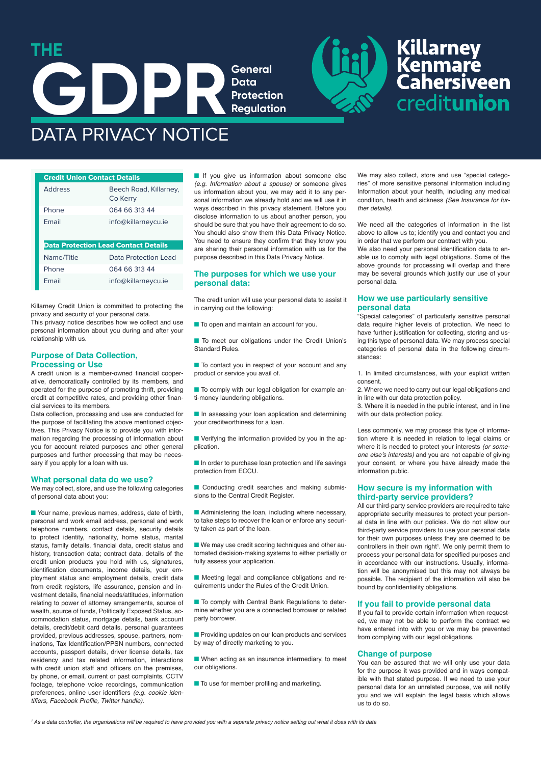

Phone 064 66 313 44 Email info@killarneycu.ie Data Protection Lead Contact Details Name/Title Data Protection Lead Phone 064 66 313 44 Email info@killarneycu.ie

Killarney Credit Union is committed to protecting the privacy and security of your personal data.

This privacy notice describes how we collect and use personal information about you during and after your relationship with us.

# **Purpose of Data Collection, Processing or Use**

A credit union is a member-owned financial cooperative, democratically controlled by its members, and operated for the purpose of promoting thrift, providing credit at competitive rates, and providing other financial services to its members.

Data collection, processing and use are conducted for the purpose of facilitating the above mentioned objectives. This Privacy Notice is to provide you with information regarding the processing of information about you for account related purposes and other general purposes and further processing that may be necessary if you apply for a loan with us.

#### **What personal data do we use?**

We may collect, store, and use the following categories of personal data about you:

■ Your name, previous names, address, date of birth. personal and work email address, personal and work telephone numbers, contact details, security details to protect identity, nationality, home status, marital status, family details, financial data, credit status and history, transaction data; contract data, details of the credit union products you hold with us, signatures, identification documents, income details, your employment status and employment details, credit data from credit registers, life assurance, pension and investment details, financial needs/attitudes, information relating to power of attorney arrangements, source of wealth, source of funds, Politically Exposed Status, accommodation status, mortgage details, bank account details, credit/debit card details, personal guarantees provided, previous addresses, spouse, partners, nominations, Tax Identification/PPSN numbers, connected accounts, passport details, driver license details, tax residency and tax related information, interactions with credit union staff and officers on the premises. by phone, or email, current or past complaints, CCTV footage, telephone voice recordings, communication preferences, online user identifiers *(e.g. cookie iden*tifiers, Facebook Profile, Twitter handle).

■ If you give us information about someone else (e.g. Information about a spouse) or someone gives us information about you, we may add it to any personal information we already hold and we will use it in ways described in this privacy statement. Before you disclose information to us about another person, you should be sure that you have their agreement to do so. You should also show them this Data Privacy Notice. You need to ensure they confirm that they know you are sharing their personal information with us for the purpose described in this Data Privacy Notice.

# **The purposes for which we use your personal data:**

The credit union will use your personal data to assist it in carrying out the following:

■ To open and maintain an account for you.

■ To meet our obligations under the Credit Union's Standard Rules.

■ To contact you in respect of your account and any product or service you avail of.

■ To comply with our legal obligation for example anti-money laundering obligations.

■ In assessing your loan application and determining your creditworthiness for a loan.

■ Verifying the information provided by you in the application.

■ In order to purchase loan protection and life savings protection from ECCU.

■ Conducting credit searches and making submissions to the Central Credit Register.

■ Administering the loan, including where necessary, to take steps to recover the loan or enforce any security taken as part of the loan.

■ We may use credit scoring techniques and other automated decision-making systems to either partially or fully assess your application.

■ Meeting legal and compliance obligations and requirements under the Rules of the Credit Union.

■ To comply with Central Bank Regulations to determine whether you are a connected borrower or related party borrower.

■ Providing updates on our loan products and services by way of directly marketing to you.

■ When acting as an insurance intermediary, to meet our obligations.

■ To use for member profiling and marketing.

We may also collect, store and use "special categories" of more sensitive personal information including Information about your health, including any medical condition, health and sickness (See Insurance for further details).

We need all the categories of information in the list above to allow us to; identify you and contact you and in order that we perform our contract with you.

We also need your personal identification data to enable us to comply with legal obligations. Some of the above grounds for processing will overlap and there may be several grounds which justify our use of your personal data.

# **How we use particularly sensitive personal data**

"Special categories" of particularly sensitive personal data require higher levels of protection. We need to have further justification for collecting, storing and using this type of personal data. We may process special categories of personal data in the following circumstances:

1. In limited circumstances, with your explicit written consent.

2. Where we need to carry out our legal obligations and in line with our data protection policy.

3. Where it is needed in the public interest, and in line with our data protection policy.

Less commonly, we may process this type of information where it is needed in relation to legal claims or where it is needed to protect your interests (or someone else's interests) and you are not capable of giving your consent, or where you have already made the information public.

# **How secure is my information with third-party service providers?**

All our third-party service providers are required to take appropriate security measures to protect your personal data in line with our policies. We do not allow our third-party service providers to use your personal data for their own purposes unless they are deemed to be controllers in their own right<sup>1</sup>. We only permit them to process your personal data for specified purposes and in accordance with our instructions. Usually, information will be anonymised but this may not always be possible. The recipient of the information will also be bound by confidentiality obligations.

# **If you fail to provide personal data**

If you fail to provide certain information when requested, we may not be able to perform the contract we have entered into with you or we may be prevented from complying with our legal obligations.

# **Change of purpose**

You can be assured that we will only use your data for the purpose it was provided and in ways compatible with that stated purpose. If we need to use your personal data for an unrelated purpose, we will notify you and we will explain the legal basis which allows us to do so.

*1* As a data controller, the organisations will be required to have provided you with a separate privacy notice setting out what it does with its data

**Killarney<br>Kenmare<br>Cahersiveen** creditunion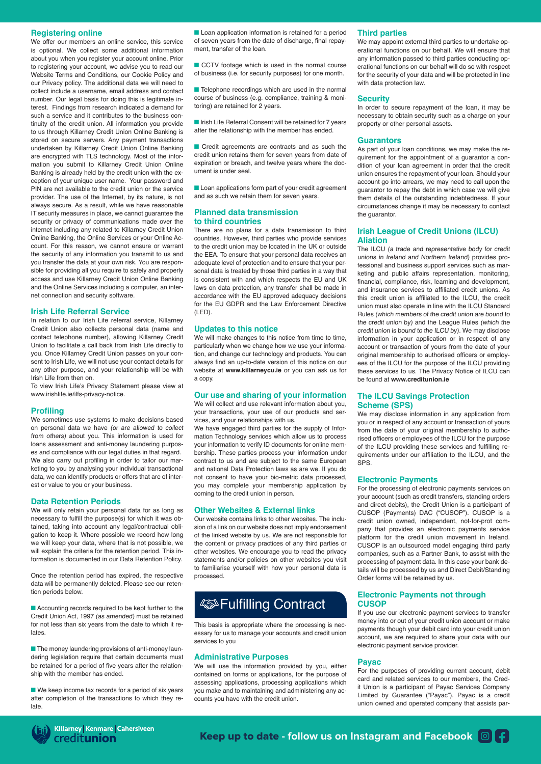# **Registering online**

We offer our members an online service, this service is optional. We collect some additional information about you when you register your account online. Prior to registering your account, we advise you to read our Website Terms and Conditions, our Cookie Policy and our Privacy policy. The additional data we will need to collect include a username, email address and contact number. Our legal basis for doing this is legitimate interest. Findings from research indicated a demand for such a service and it contributes to the business continuity of the credit union. All information you provide to us through Killarney Credit Union Online Banking is stored on secure servers. Any payment transactions undertaken by Killarney Credit Union Online Banking are encrypted with TLS technology. Most of the information you submit to Killarney Credit Union Online Banking is already held by the credit union with the exception of your unique user name. Your password and PIN are not available to the credit union or the service provider. The use of the Internet, by its nature, is not always secure. As a result, while we have reasonable IT security measures in place, we cannot guarantee the security or privacy of communications made over the internet including any related to Killarney Credit Union Online Banking, the Online Services or your Online Account. For this reason, we cannot ensure or warrant the security of any information you transmit to us and you transfer the data at your own risk. You are responsible for providing all you require to safely and properly access and use Killarney Credit Union Online Banking and the Online Services including a computer, an internet connection and security software.

# **Irish Life Referral Service**

In relation to our Irish Life referral service, Killarney Credit Union also collects personal data (name and contact telephone number), allowing Killarney Credit Union to facilitate a call back from Irish Life directly to you. Once Killarney Credit Union passes on your consent to Irish Life, we will not use your contact details for any other purpose, and your relationship will be with Irish Life from then on.

To view Irish Life's Privacy Statement please view at www.irishlife.ie/ilfs-privacy-notice.

# **Profiling**

We sometimes use systems to make decisions based on personal data we have (or are allowed to collect from others) about you. This information is used for loans assessment and anti-money laundering purposes and compliance with our legal duties in that regard. We also carry out profiling in order to tailor our marketing to you by analysing your individual transactional data, we can identify products or offers that are of interest or value to you or your business.

#### **Data Retention Periods**

We will only retain your personal data for as long as necessary to fulfill the purpose(s) for which it was obtained, taking into account any legal/contractual obligation to keep it. Where possible we record how long we will keep your data, where that is not possible, we will explain the criteria for the retention period. This information is documented in our Data Retention Policy.

Once the retention period has expired, the respective data will be permanently deleted. Please see our retention periods below.

■ Accounting records required to be kept further to the Credit Union Act, 1997 (as amended) must be retained for not less than six years from the date to which it relates.

■ The money laundering provisions of anti-money laundering legislation require that certain documents must be retained for a period of five years after the relationship with the member has ended.

■ We keep income tax records for a period of six years after completion of the transactions to which they relate.

■ Loan application information is retained for a period of seven years from the date of discharge, final repayment, transfer of the loan.

■ CCTV footage which is used in the normal course of business (i.e. for security purposes) for one month.

■ Telephone recordings which are used in the normal course of business (e.g. compliance, training & monitoring) are retained for 2 years.

■ Irish Life Referral Consent will be retained for 7 years after the relationship with the member has ended.

■ Credit agreements are contracts and as such the credit union retains them for seven years from date of expiration or breach, and twelve years where the document is under seal.

■ Loan applications form part of your credit agreement and as such we retain them for seven years.

#### **Planned data transmission to third countries**

There are no plans for a data transmission to third countries. However, third parties who provide services to the credit union may be located in the UK or outside the EEA. To ensure that your personal data receives an adequate level of protection and to ensure that your personal data is treated by those third parties in a way that is consistent with and which respects the EU and UK laws on data protection, any transfer shall be made in accordance with the EU approved adequacy decisions for the EU GDPR and the Law Enforcement Directive (LED).

#### **Updates to this notice**

We will make changes to this notice from time to time particularly when we change how we use your information, and change our technology and products. You can always find an up-to-date version of this notice on our website at **www.killarneycu.ie** or you can ask us for a copy.

#### **Our use and sharing of your information**

We will collect and use relevant information about you, your transactions, your use of our products and services, and your relationships with us.

We have engaged third parties for the supply of Information Technology services which allow us to process your information to verify ID documents for online membership. These parties process your information under contract to us and are subject to the same European and national Data Protection laws as are we. If you do not consent to have your bio-metric data processed, you may complete your membership application by coming to the credit union in person.

# **Other Websites & External links**

Our website contains links to other websites. The inclusion of a link on our website does not imply endorsement of the linked website by us. We are not responsible for the content or privacy practices of any third parties or other websites. We encourage you to read the privacy statements and/or policies on other websites you visit to familiarise yourself with how your personal data is processed.

# **ASSO Fulfilling Contract**

This basis is appropriate where the processing is necessary for us to manage your accounts and credit union services to you

#### **Administrative Purposes**

We will use the information provided by you, either contained on forms or applications, for the purpose of assessing applications, processing applications which you make and to maintaining and administering any accounts you have with the credit union.

#### **Third parties**

We may appoint external third parties to undertake operational functions on our behalf. We will ensure that any information passed to third parties conducting operational functions on our behalf will do so with respect for the security of your data and will be protected in line with data protection law.

#### **Security**

In order to secure repayment of the loan, it may be necessary to obtain security such as a charge on your property or other personal assets.

#### **Guarantors**

As part of your loan conditions, we may make the requirement for the appointment of a guarantor a condition of your loan agreement in order that the credit union ensures the repayment of your loan. Should your account go into arrears, we may need to call upon the guarantor to repay the debt in which case we will give them details of the outstanding indebtedness. If your circumstances change it may be necessary to contact the quarantor.

## **Irish League of Credit Unions (ILCU) Aliation**

The ILCU (a trade and representative body for credit unions in Ireland and Northern Ireland) provides professional and business support services such as marketing and public affairs representation, monitoring, financial, compliance, risk, learning and development, and insurance services to affiliated credit unions. As this credit union is affiliated to the ILCU, the credit union must also operate in line with the ILCU Standard Rules (which members of the credit union are bound to the credit union by) and the League Rules (which the credit union is bound to the ILCU by). We may disclose information in your application or in respect of any account or transaction of yours from the date of your original membership to authorised officers or employees of the ILCU for the purpose of the ILCU providing these services to us. The Privacy Notice of ILCU can be found at **www.creditunion.ie**

# **The ILCU Savings Protection Scheme (SPS)**

We may disclose information in any application from you or in respect of any account or transaction of yours from the date of your original membership to authorised officers or employees of the ILCU for the purpose of the ILCU providing these services and fulfilling requirements under our affiliation to the ILCU, and the SPS.

# **Electronic Payments**

For the processing of electronic payments services on your account (such as credit transfers, standing orders and direct debits), the Credit Union is a participant of CUSOP (Payments) DAC ("CUSOP"). CUSOP is a credit union owned, independent, not-for-prot company that provides an electronic payments service platform for the credit union movement in Ireland. CUSOP is an outsourced model engaging third party companies, such as a Partner Bank, to assist with the processing of payment data. In this case your bank details will be processed by us and Direct Debit/Standing Order forms will be retained by us.

#### **Electronic Payments not through CUSOP**

If you use our electronic payment services to transfer money into or out of your credit union account or make payments though your debit card into your credit union account, we are required to share your data with our electronic payment service provider.

#### **Payac**

For the purposes of providing current account, debit card and related services to our members, the Credit Union is a participant of Payac Services Company Limited by Guarantee ("Payac"). Payac is a credit union owned and operated company that assists par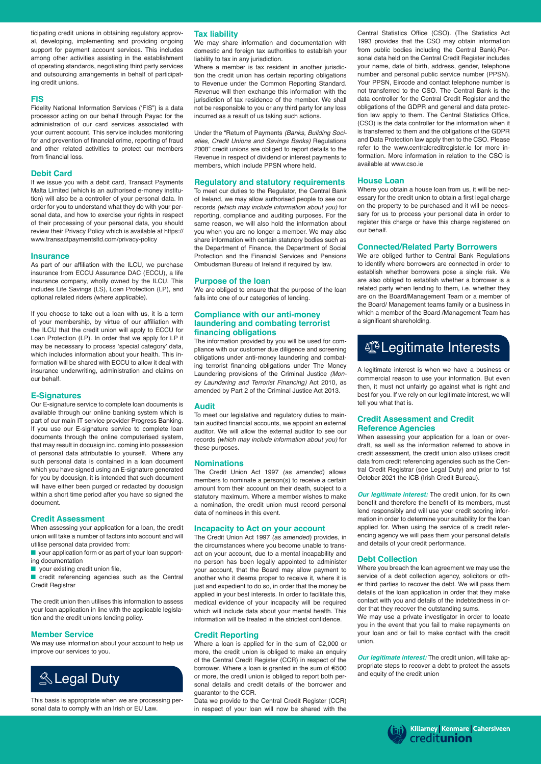ticipating credit unions in obtaining regulatory approval, developing, implementing and providing ongoing support for payment account services. This includes among other activities assisting in the establishment of operating standards, negotiating third party services and outsourcing arrangements in behalf of participating credit unions.

#### **FIS**

Fidelity National Information Services ('FIS") is a data processor acting on our behalf through Payac for the administration of our card services associated with your current account. This service includes monitoring for and prevention of financial crime, reporting of fraud and other related activities to protect our members from financial loss.

# **Debit Card**

If we issue you with a debit card, Transact Payments Malta Limited (which is an authorised e-money institution) will also be a controller of your personal data. In order for you to understand what they do with your personal data, and how to exercise your rights in respect of their processing of your personal data, you should review their Privacy Policy which is available at https:// www.transactpaymentsltd.com/privacy-policy

#### **Insurance**

As part of our affiliation with the ILCU, we purchase insurance from ECCU Assurance DAC (ECCU), a life insurance company, wholly owned by the ILCU. This includes Life Savings (LS), Loan Protection (LP), and optional related riders (where applicable).

If you choose to take out a loan with us, it is a term of your membership, by virtue of our affiliation with the ILCU that the credit union will apply to ECCU for Loan Protection (LP). In order that we apply for LP it may be necessary to process 'special category' data, which includes information about your health. This information will be shared with ECCU to allow it deal with insurance underwriting, administration and claims on our behalf.

# **E-Signatures**

Our E-signature service to complete loan documents is available through our online banking system which is part of our main IT service provider Progress Banking. If you use our E-signature service to complete loan documents through the online computerised system, that may result in docusign inc. coming into possession of personal data attributable to yourself. Where any such personal data is contained in a loan document which you have signed using an E-signature generated for you by docusign, it is intended that such document will have either been purged or redacted by docusign within a short time period after you have so signed the document.

# **Credit Assessment**

When assessing your application for a loan, the credit union will take a number of factors into account and will utilise personal data provided from:

- your application form or as part of your loan supporting documentation
- your existing credit union file,

■ credit referencing agencies such as the Central Credit Registrar

The credit union then utilises this information to assess your loan application in line with the applicable legislation and the credit unions lending policy.

# **Member Service**

We may use information about your account to help us improve our services to you.



This basis is appropriate when we are processing personal data to comply with an Irish or EU Law.

# **Tax liability**

We may share information and documentation with domestic and foreign tax authorities to establish your liability to tax in any jurisdiction.

Where a member is tax resident in another jurisdiction the credit union has certain reporting obligations to Revenue under the Common Reporting Standard. Revenue will then exchange this information with the jurisdiction of tax residence of the member. We shall not be responsible to you or any third party for any loss incurred as a result of us taking such actions.

Under the "Return of Payments (Banks, Building Societies, Credit Unions and Savings Banks) Regulations 2008" credit unions are obliged to report details to the Revenue in respect of dividend or interest payments to members, which include PPSN where held.

#### **Regulatory and statutory requirements**

To meet our duties to the Regulator, the Central Bank of Ireland, we may allow authorised people to see our records (which may include information about you) for reporting, compliance and auditing purposes. For the same reason, we will also hold the information about you when you are no longer a member. We may also share information with certain statutory bodies such as the Department of Finance, the Department of Social Protection and the Financial Services and Pensions Ombudsman Bureau of Ireland if required by law.

# **Purpose of the loan**

We are obliged to ensure that the purpose of the loan falls into one of our categories of lending.

# **Compliance with our anti-money laundering and combating terrorist financing obligations**

The information provided by you will be used for compliance with our customer due diligence and screening obligations under anti-money laundering and combating terrorist financing obligations under The Money Laundering provisions of the Criminal Justice *(Mon*ey Laundering and Terrorist Financing) Act 2010, as amended by Part 2 of the Criminal Justice Act 2013.

# **Audit**

To meet our legislative and regulatory duties to maintain audited financial accounts, we appoint an external auditor. We will allow the external auditor to see our records (which may include information about you) for these purposes.

#### **Nominations**

The Credit Union Act 1997 (as amended) allows members to nominate a person(s) to receive a certain amount from their account on their death, subject to a statutory maximum. Where a member wishes to make a nomination, the credit union must record personal data of nominees in this event.

#### **Incapacity to Act on your account**

The Credit Union Act 1997 (as amended) provides, in the circumstances where you become unable to transact on your account, due to a mental incapability and no person has been legally appointed to administer your account, that the Board may allow payment to another who it deems proper to receive it, where it is just and expedient to do so, in order that the money be applied in your best interests. In order to facilitate this, medical evidence of your incapacity will be required which will include data about your mental health. This information will be treated in the strictest confidence.

# **Credit Reporting**

Where a loan is applied for in the sum of €2,000 or more, the credit union is obliged to make an enquiry of the Central Credit Register (CCR) in respect of the borrower. Where a loan is granted in the sum of €500 or more, the credit union is obliged to report both personal details and credit details of the borrower and guarantor to the CCR.

Data we provide to the Central Credit Register (CCR) in respect of your loan will now be shared with the Central Statistics Office (CSO). (The Statistics Act 1993 provides that the CSO may obtain information from public bodies including the Central Bank).Personal data held on the Central Credit Register includes your name, date of birth, address, gender, telephone number and personal public service number (PPSN). Your PPSN, Eircode and contact telephone number is not transferred to the CSO. The Central Bank is the data controller for the Central Credit Register and the obligations of the GDPR and general and data protection law apply to them. The Central Statistics Office, (CSO) is the data controller for the information when it is transferred to them and the obligations of the GDPR and Data Protection law apply then to the CSO. Please refer to the www.centralcreditregister.ie for more information. More information in relation to the CSO is available at www.cso.ie

# **House Loan**

Where you obtain a house loan from us, it will be necessary for the credit union to obtain a first legal charge on the property to be purchased and it will be necessary for us to process your personal data in order to register this charge or have this charge registered on our behalf.

# **Connected/Related Party Borrowers**

We are obliged further to Central Bank Regulations to identify where borrowers are connected in order to establish whether borrowers pose a single risk. We are also obliged to establish whether a borrower is a related party when lending to them, i.e. whether they are on the Board/Management Team or a member of the Board/ Management teams family or a business in which a member of the Board /Management Team has a significant shareholding.

# *C*Legitimate Interests

A legitimate interest is when we have a business or commercial reason to use your information. But even then, it must not unfairly go against what is right and best for you. If we rely on our legitimate interest, we will tell you what that is.

# **Credit Assessment and Credit Reference Agencies**

When assessing your application for a loan or overdraft, as well as the information referred to above in credit assessment, the credit union also utilises credit data from credit referencing agencies such as the Central Credit Registrar (see Legal Duty) and prior to 1st October 2021 the ICB (Irish Credit Bureau).

*Our legitimate interest:* The credit union, for its own benefit and therefore the benefit of its members, must lend responsibly and will use your credit scoring information in order to determine your suitability for the loan applied for. When using the service of a credit referencing agency we will pass them your personal details and details of your credit performance.

# **Debt Collection**

Where you breach the loan agreement we may use the service of a debt collection agency, solicitors or other third parties to recover the debt. We will pass them details of the loan application in order that they make contact with you and details of the indebtedness in order that they recover the outstanding sums.

We may use a private investigator in order to locate you in the event that you fail to make repayments on your loan and or fail to make contact with the credit union.

*Our legitimate interest:* The credit union, will take appropriate steps to recover a debt to protect the assets and equity of the credit union